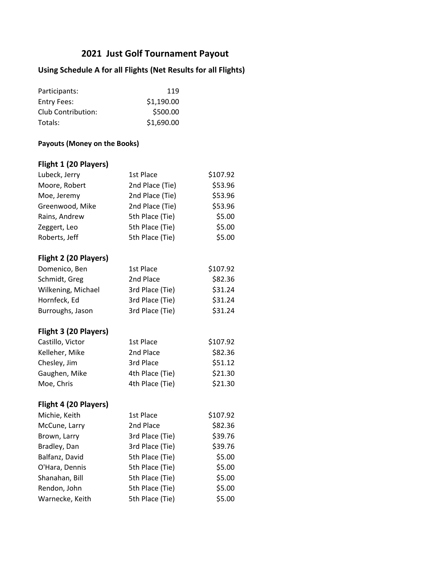# **2021 Just Golf Tournament Payout**

### **Using Schedule A for all Flights (Net Results for all Flights)**

| Participants:      | 119        |
|--------------------|------------|
| Entry Fees:        | \$1,190.00 |
| Club Contribution: | \$500.00   |
| Totals:            | \$1,690.00 |

#### **Payouts (Money on the Books)**

## **Flight 1 (20 Players)**

| Lubeck, Jerry         | 1st Place       | \$107.92 |
|-----------------------|-----------------|----------|
| Moore, Robert         | 2nd Place (Tie) | \$53.96  |
| Moe, Jeremy           | 2nd Place (Tie) | \$53.96  |
| Greenwood, Mike       | 2nd Place (Tie) | \$53.96  |
| Rains, Andrew         | 5th Place (Tie) | \$5.00   |
| Zeggert, Leo          | 5th Place (Tie) | \$5.00   |
| Roberts, Jeff         | 5th Place (Tie) | \$5.00   |
| Flight 2 (20 Players) |                 |          |
| Domenico, Ben         | 1st Place       | \$107.92 |
| Schmidt, Greg         | 2nd Place       | \$82.36  |
| Wilkening, Michael    | 3rd Place (Tie) | \$31.24  |
| Hornfeck, Ed          | 3rd Place (Tie) | \$31.24  |
| Burroughs, Jason      | 3rd Place (Tie) | \$31.24  |
| Flight 3 (20 Players) |                 |          |
| Castillo, Victor      | 1st Place       | \$107.92 |
| Kelleher, Mike        | 2nd Place       | \$82.36  |
| Chesley, Jim          | 3rd Place       | \$51.12  |
| Gaughen, Mike         | 4th Place (Tie) | \$21.30  |
| Moe, Chris            | 4th Place (Tie) | \$21.30  |
| Flight 4 (20 Players) |                 |          |
| Michie, Keith         | 1st Place       | \$107.92 |
| McCune, Larry         | 2nd Place       | \$82.36  |
| Brown, Larry          | 3rd Place (Tie) | \$39.76  |
| Bradley, Dan          | 3rd Place (Tie) | \$39.76  |
| Balfanz, David        | 5th Place (Tie) | \$5.00   |
| O'Hara, Dennis        | 5th Place (Tie) | \$5.00   |
| Shanahan, Bill        | 5th Place (Tie) | \$5.00   |
| Rendon, John          | 5th Place (Tie) | \$5.00   |
| Warnecke, Keith       | 5th Place (Tie) | \$5.00   |
|                       |                 |          |